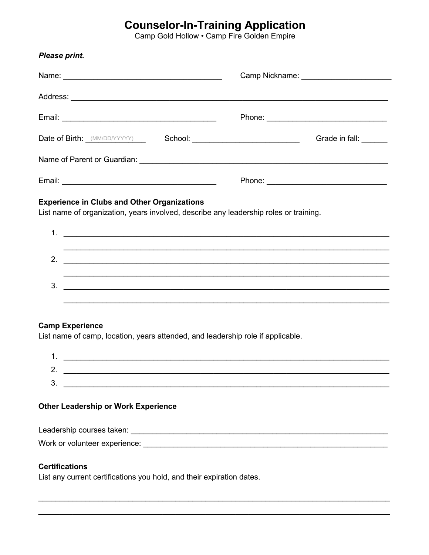# **Counselor-In-Training Application**<br>Camp Gold Hollow . Camp Fire Golden Empire

| Please print.                                                                                                                                                                                                                                                                                                          |  |  |                       |  |  |
|------------------------------------------------------------------------------------------------------------------------------------------------------------------------------------------------------------------------------------------------------------------------------------------------------------------------|--|--|-----------------------|--|--|
|                                                                                                                                                                                                                                                                                                                        |  |  |                       |  |  |
|                                                                                                                                                                                                                                                                                                                        |  |  |                       |  |  |
|                                                                                                                                                                                                                                                                                                                        |  |  |                       |  |  |
|                                                                                                                                                                                                                                                                                                                        |  |  | Grade in fall: ______ |  |  |
|                                                                                                                                                                                                                                                                                                                        |  |  |                       |  |  |
|                                                                                                                                                                                                                                                                                                                        |  |  |                       |  |  |
| <b>Experience in Clubs and Other Organizations</b><br>List name of organization, years involved, describe any leadership roles or training.                                                                                                                                                                            |  |  |                       |  |  |
| 1. $\frac{1}{2}$ $\frac{1}{2}$ $\frac{1}{2}$ $\frac{1}{2}$ $\frac{1}{2}$ $\frac{1}{2}$ $\frac{1}{2}$ $\frac{1}{2}$ $\frac{1}{2}$ $\frac{1}{2}$ $\frac{1}{2}$ $\frac{1}{2}$ $\frac{1}{2}$ $\frac{1}{2}$ $\frac{1}{2}$ $\frac{1}{2}$ $\frac{1}{2}$ $\frac{1}{2}$ $\frac{1}{2}$ $\frac{1}{2}$ $\frac{1}{2}$ $\frac{1}{2}$ |  |  |                       |  |  |
| ,我们也不会有什么。""我们的人,我们也不会有什么?""我们的人,我们也不会有什么?""我们的人,我们也不会有什么?""我们的人,我们也不会有什么?""我们的人<br>2.                                                                                                                                                                                                                                 |  |  |                       |  |  |
| 3.<br><u> 1989 - Johann Stoff, deutscher Stoffen und der Stoffen und der Stoffen und der Stoffen und der Stoffen und der</u>                                                                                                                                                                                           |  |  |                       |  |  |
|                                                                                                                                                                                                                                                                                                                        |  |  |                       |  |  |
| <b>Camp Experience</b><br>List name of camp, location, years attended, and leadership role if applicable.                                                                                                                                                                                                              |  |  |                       |  |  |

| r      |  |
|--------|--|
| ╭<br>N |  |

## **Other Leadership or Work Experience**

Work or volunteer experience: Work and the state of the state of the state of the state of the state of the state of the state of the state of the state of the state of the state of the state of the state of the state of t

### **Certifications**

List any current certifications you hold, and their expiration dates.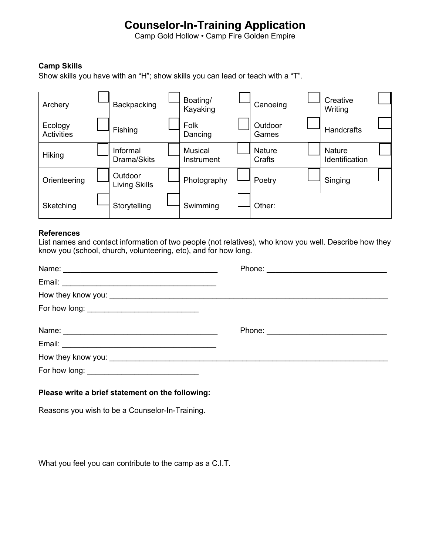# **Counselor-In-Training Application**

Camp Gold Hollow • Camp Fire Golden Empire

### **Camp Skills**

Show skills you have with an "H"; show skills you can lead or teach with a "T".

| Archery                      | Backpacking              | Boating/<br>Kayaking         | Canoeing                | Creative<br>Writing                    |  |
|------------------------------|--------------------------|------------------------------|-------------------------|----------------------------------------|--|
| Ecology<br><b>Activities</b> | Fishing                  | Folk<br>Dancing              | Outdoor<br>Games        | <b>Handcrafts</b>                      |  |
| Hiking                       | Informal<br>Drama/Skits  | Musical<br><b>Instrument</b> | <b>Nature</b><br>Crafts | <b>Nature</b><br><b>Identification</b> |  |
| Orienteering                 | Outdoor<br>Living Skills | Photography                  | Poetry                  | Singing                                |  |
| Sketching                    | Storytelling             | Swimming                     | Other:                  |                                        |  |

#### **References**

List names and contact information of two people (not relatives), who know you well. Describe how they know you (school, church, volunteering, etc), and for how long.

| Name: Name: Name: Name: Name: Name: Name: Name: Name: Name: Name: Name: Name: Name: Name: Name: Name: Name: Name: Name: Name: Name: Name: Name: Name: Name: Name: Name: Name: Name: Name: Name: Name: Name: Name: Name: Name: |  |
|-------------------------------------------------------------------------------------------------------------------------------------------------------------------------------------------------------------------------------|--|
|                                                                                                                                                                                                                               |  |
|                                                                                                                                                                                                                               |  |
|                                                                                                                                                                                                                               |  |
|                                                                                                                                                                                                                               |  |
|                                                                                                                                                                                                                               |  |
|                                                                                                                                                                                                                               |  |
| For how long: ___________________________________                                                                                                                                                                             |  |
|                                                                                                                                                                                                                               |  |

#### **Please write a brief statement on the following:**

Reasons you wish to be a Counselor-In-Training.

What you feel you can contribute to the camp as a C.I.T.